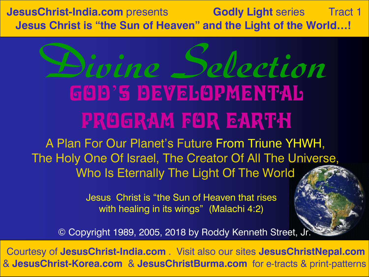#### **Jesus Christ is "the Sun of Heaven" and the Light of the World…! JesusChrist-India.com** presents **Godly Light** series Tract 1

# GOD'S DEVELOPMENTHI PROGRAM FOR EARTH Divine Selection

A Plan For Our Planet's Future From Triune YHWH, The Holy One Of Israel, The Creator Of All The Universe, Who Is Eternally The Light Of The World

> Jesus Christ is "the Sun of Heaven that rises with healing in its wings" (Malachi 4:2)

© Copyright 1989, 2005, 2018 by Roddy Kenneth Street, Jr.

Courtesy of **JesusChrist-India.com** . Visit also our sites **JesusChristNepal.com** & **JesusChrist-Korea.com** & **JesusChristBurma.com** for e-tracts & print-patterns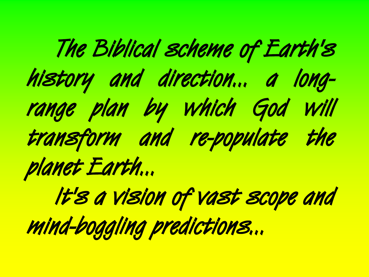The Biblical scheme of Earth's history and direction... a longrange plan by which God will transform and re-populate the planet Earth...

 It's a vision of vast scope and mind-boggling predictions...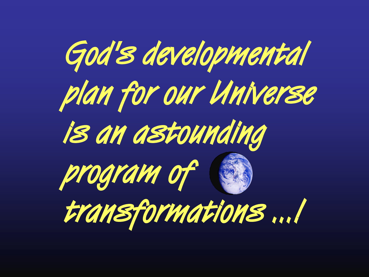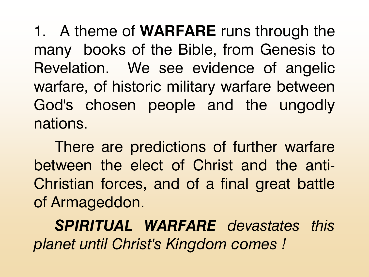1. A theme of **WARFARE** runs through the many books of the Bible, from Genesis to Revelation. We see evidence of angelic warfare, of historic military warfare between God's chosen people and the ungodly nations.

 There are predictions of further warfare between the elect of Christ and the anti-Christian forces, and of a final great battle of Armageddon.

 *SPIRITUAL WARFARE devastates this planet until Christ's Kingdom comes !*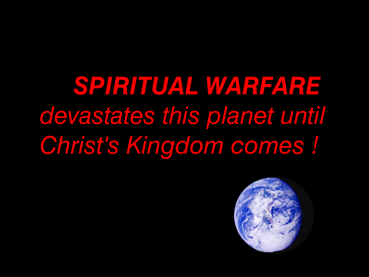*SPIRITUAL WARFARE devastates this planet until Christ's Kingdom comes !*

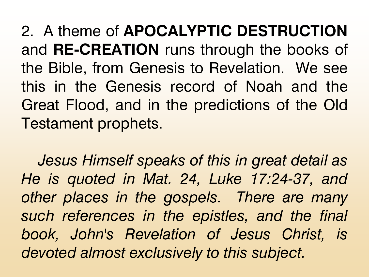2. A theme of **APOCALYPTIC DESTRUCTION** and **RE-CREATION** runs through the books of the Bible, from Genesis to Revelation. We see this in the Genesis record of Noah and the Great Flood, and in the predictions of the Old Testament prophets.

 *Jesus Himself speaks of this in great detail as He is quoted in Mat. 24, Luke 17:24-37, and other places in the gospels. There are many such references in the epistles, and the final book, John's Revelation of Jesus Christ, is devoted almost exclusively to this subject.*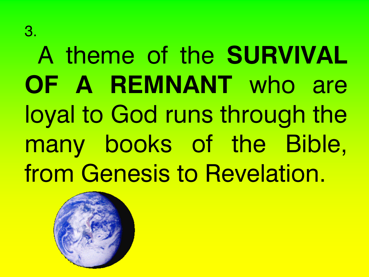3.

# A theme of the **SURVIVAL OF A REMNANT** who are loyal to God runs through the many books of the Bible, from Genesis to Revelation.

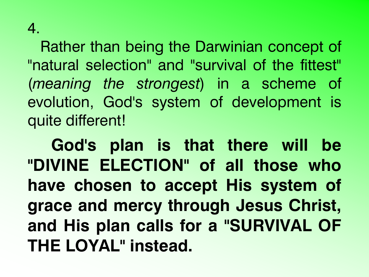#### 4.

 Rather than being the Darwinian concept of "natural selection" and "survival of the fittest" (*meaning the strongest*) in a scheme of evolution, God's system of development is quite different!

 **God's plan is that there will be "DIVINE ELECTION" of all those who have chosen to accept His system of grace and mercy through Jesus Christ, and His plan calls for a "SURVIVAL OF THE LOYAL" instead.**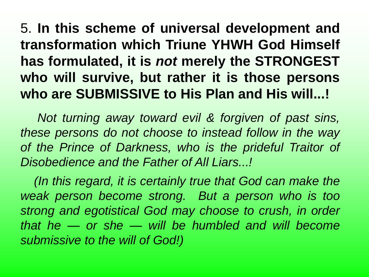5. **In this scheme of universal development and transformation which Triune YHWH God Himself has formulated, it is** *not* **merely the STRONGEST who will survive, but rather it is those persons who are SUBMISSIVE to His Plan and His will...!**

 *Not turning away toward evil & forgiven of past sins, these persons do not choose to instead follow in the way of the Prince of Darkness, who is the prideful Traitor of Disobedience and the Father of All Liars...!*

 *(In this regard, it is certainly true that God can make the weak person become strong. But a person who is too strong and egotistical God may choose to crush, in order that he — or she — will be humbled and will become submissive to the will of God!)*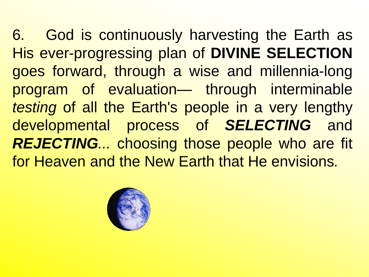6. God is continuously harvesting the Earth as His ever-progressing plan of **DIVINE SELECTION** goes forward, through a wise and millennia-long program of evaluation— through interminable *testing* of all the Earth's people in a very lengthy developmental process of *SELECTING* and *REJECTING...* choosing those people who are fit for Heaven and the New Earth that He envisions*.*

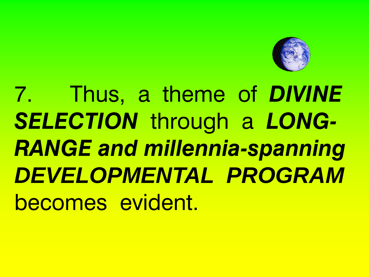

## 7. Thus, a theme of *DIVINE SELECTION* through a *LONG-RANGE and millennia-spanning DEVELOPMENTAL PROGRAM* becomes evident.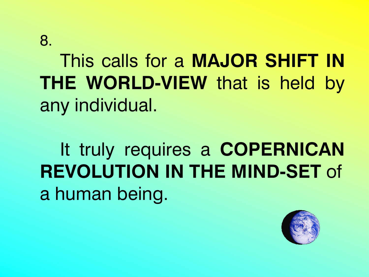8.

## This calls for a **MAJOR SHIFT IN THE WORLD-VIEW** that is held by any individual.

### It truly requires a **COPERNICAN REVOLUTION IN THE MIND-SET** of a human being.

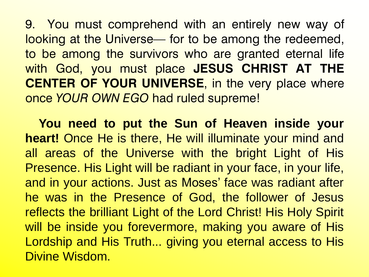9. You must comprehend with an entirely new way of looking at the Universe— for to be among the redeemed, to be among the survivors who are granted eternal life with God, you must place **JESUS CHRIST AT THE CENTER OF YOUR UNIVERSE**, in the very place where once *YOUR OWN EGO* had ruled supreme!

 **You need to put the Sun of Heaven inside your heart!** Once He is there, He will illuminate your mind and all areas of the Universe with the bright Light of His Presence. His Light will be radiant in your face, in your life, and in your actions. Just as Moses' face was radiant after he was in the Presence of God, the follower of Jesus reflects the brilliant Light of the Lord Christ! His Holy Spirit will be inside you forevermore, making you aware of His Lordship and His Truth... giving you eternal access to His Divine Wisdom.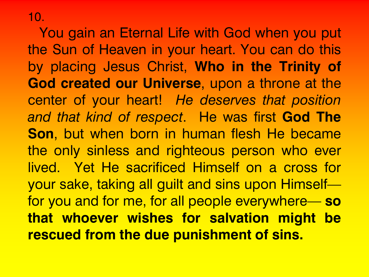10.

 You gain an Eternal Life with God when you put the Sun of Heaven in your heart. You can do this by placing Jesus Christ, **Who in the Trinity of God created our Universe**, upon a throne at the center of your heart! *He deserves that position and that kind of respect*. He was first **God The Son**, but when born in human flesh He became the only sinless and righteous person who ever lived. Yet He sacrificed Himself on a cross for your sake, taking all guilt and sins upon Himself for you and for me, for all people everywhere— **so that whoever wishes for salvation might be rescued from the due punishment of sins.**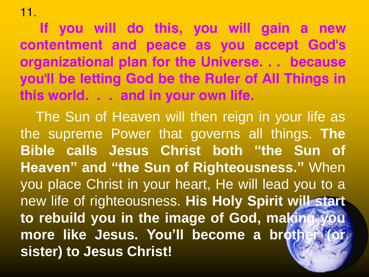11.

 **If you will do this, you will gain a new contentment and peace as you accept God's organizational plan for the Universe. . . because you'll be letting God be the Ruler of All Things in this world. . . and in your own life.**

The Sun of Heaven will then reign in your life as the supreme Power that governs all things. **The Bible calls Jesus Christ both "the Sun of Heaven" and "the Sun of Righteousness. "** When you place Christ in your heart, He will lead you to a new life of righteousness. **His Holy Spirit will start to rebuild you in the image of God, making you more like Jesus. You'll become a brother (or sister) to Jesus Christ!**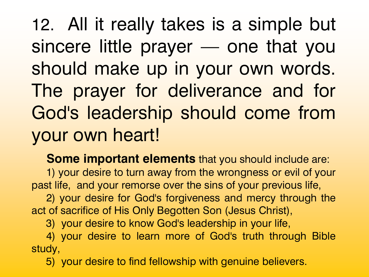12. All it really takes is a simple but sincere little prayer — one that you should make up in your own words. The prayer for deliverance and for God's leadership should come from your own heart!

**Some important elements** that you should include are: 1) your desire to turn away from the wrongness or evil of your past life, and your remorse over the sins of your previous life,

 2) your desire for God's forgiveness and mercy through the act of sacrifice of His Only Begotten Son (Jesus Christ),

3) your desire to know God's leadership in your life,

 4) your desire to learn more of God's truth through Bible study,

5) your desire to find fellowship with genuine believers.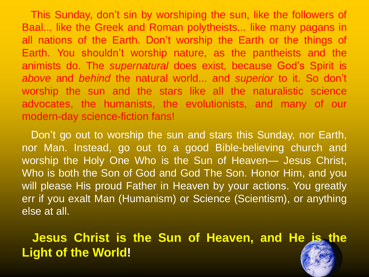This Sunday, don't sin by worshiping the sun, like the followers of Baal... like the Greek and Roman polytheists... like many pagans in all nations of the Earth. Don't worship the Earth or the things of Earth. You shouldn't worship nature, as the pantheists and the animists do. The *supernatural* does exist, because God's Spirit is *above* and *behind* the natural world... and *superior* to it. So don't worship the sun and the stars like all the naturalistic science advocates, the humanists, the evolutionists, and many of our modern-day science-fiction fans!

 Don't go out to worship the sun and stars this Sunday, nor Earth, nor Man. Instead, go out to a good Bible-believing church and worship the Holy One Who is the Sun of Heaven— Jesus Christ, Who is both the Son of God and God The Son. Honor Him, and you will please His proud Father in Heaven by your actions. You greatly err if you exalt Man (Humanism) or Science (Scientism), or anything else at all.

 **Jesus Christ is the Sun of Heaven, and He is the Light of the World!**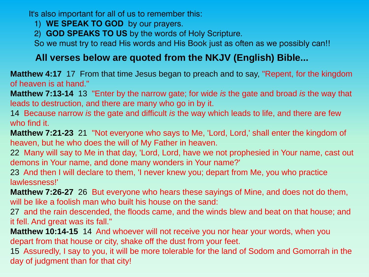It's also important for all of us to remember this:

- 1) **WE SPEAK TO GOD** by our prayers.
- 2) **GOD SPEAKS TO US** by the words of Holy Scripture.

So we must try to read His words and His Book just as often as we possibly can!!

#### **All verses below are quoted from the NKJV (English) Bible...**

**Matthew 4:17** 17 From that time Jesus began to preach and to say, "Repent, for the kingdom of heaven is at hand."

**Matthew 7:13-14** 13 "Enter by the narrow gate; for wide *is* the gate and broad *is* the way that leads to destruction, and there are many who go in by it.

14 Because narrow *is* the gate and difficult *is* the way which leads to life, and there are few who find it.

**Matthew 7:21-23** 21 "Not everyone who says to Me, 'Lord, Lord,' shall enter the kingdom of heaven, but he who does the will of My Father in heaven.

22 Many will say to Me in that day, 'Lord, Lord, have we not prophesied in Your name, cast out demons in Your name, and done many wonders in Your name?'

23 And then I will declare to them, 'I never knew you; depart from Me, you who practice lawlessness!'

**Matthew 7:26-27** 26 But everyone who hears these sayings of Mine, and does not do them, will be like a foolish man who built his house on the sand:

27 and the rain descended, the floods came, and the winds blew and beat on that house; and it fell. And great was its fall."

**Matthew 10:14-15** 14 And whoever will not receive you nor hear your words, when you depart from that house or city, shake off the dust from your feet.

15 Assuredly, I say to you, it will be more tolerable for the land of Sodom and Gomorrah in the day of judgment than for that city!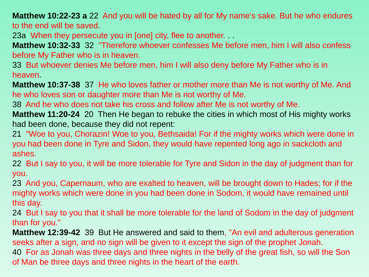**Matthew 10:22-23 a** 22 And you will be hated by all for My name's sake. But he who endures to the end will be saved.

23a When they persecute you in [one] city, flee to another. . .

**Matthew 10:32-33** 32 "Therefore whoever confesses Me before men, him I will also confess before My Father who is in heaven.

33 But whoever denies Me before men, him I will also deny before My Father who is in heaven.

**Matthew 10:37-38** 37 He who loves father or mother more than Me is not worthy of Me. And he who loves son or daughter more than Me is not worthy of Me.

38 And he who does not take his cross and follow after Me is not worthy of Me.

**Matthew 11:20-24** 20 Then He began to rebuke the cities in which most of His mighty works had been done, because they did not repent:

21 "Woe to you, Chorazin! Woe to you, Bethsaida! For if the mighty works which were done in you had been done in Tyre and Sidon, they would have repented long ago in sackcloth and ashes.

22 But I say to you, it will be more tolerable for Tyre and Sidon in the day of judgment than for you.

23 And you, Capernaum, who are exalted to heaven, will be brought down to Hades; for if the mighty works which were done in you had been done in Sodom, it would have remained until this day.

24 But I say to you that it shall be more tolerable for the land of Sodom in the day of judgment than for you."

**Matthew 12:39-42** 39 But He answered and said to them, "An evil and adulterous generation seeks after a sign, and no sign will be given to it except the sign of the prophet Jonah.

40 For as Jonah was three days and three nights in the belly of the great fish, so will the Son of Man be three days and three nights in the heart of the earth.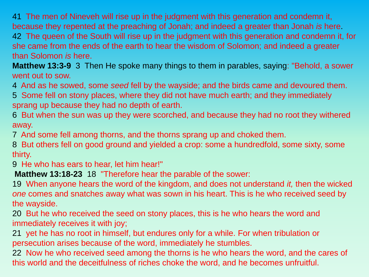41 The men of Nineveh will rise up in the judgment with this generation and condemn it, because they repented at the preaching of Jonah; and indeed a greater than Jonah *is* here. 42 The queen of the South will rise up in the judgment with this generation and condemn it, for she came from the ends of the earth to hear the wisdom of Solomon; and indeed a greater than Solomon *is* here.

**Matthew 13:3-9** 3 Then He spoke many things to them in parables, saying: "Behold, a sower went out to sow.

4 And as he sowed, some *seed* fell by the wayside; and the birds came and devoured them.

5 Some fell on stony places, where they did not have much earth; and they immediately sprang up because they had no depth of earth.

6 But when the sun was up they were scorched, and because they had no root they withered away.

7 And some fell among thorns, and the thorns sprang up and choked them.

8 But others fell on good ground and yielded a crop: some a hundredfold, some sixty, some thirty.

9 He who has ears to hear, let him hear!"

**Matthew 13:18-23** 18 "Therefore hear the parable of the sower:

19 When anyone hears the word of the kingdom, and does not understand *it,* then the wicked *one* comes and snatches away what was sown in his heart. This is he who received seed by the wayside.

20 But he who received the seed on stony places, this is he who hears the word and immediately receives it with joy;

21 yet he has no root in himself, but endures only for a while. For when tribulation or persecution arises because of the word, immediately he stumbles.

22 Now he who received seed among the thorns is he who hears the word, and the cares of this world and the deceitfulness of riches choke the word, and he becomes unfruitful.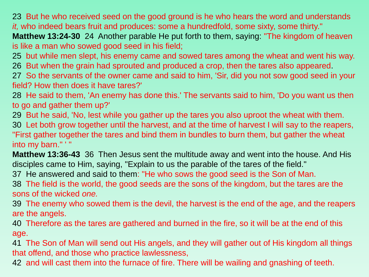23 But he who received seed on the good ground is he who hears the word and understands *it,* who indeed bears fruit and produces: some a hundredfold, some sixty, some thirty."

**Matthew 13:24-30** 24 Another parable He put forth to them, saying: "The kingdom of heaven is like a man who sowed good seed in his field;

25 but while men slept, his enemy came and sowed tares among the wheat and went his way. 26 But when the grain had sprouted and produced a crop, then the tares also appeared.

27 So the servants of the owner came and said to him, 'Sir, did you not sow good seed in your field? How then does it have tares?'

28 He said to them, 'An enemy has done this.' The servants said to him, 'Do you want us then to go and gather them up?'

29 But he said, 'No, lest while you gather up the tares you also uproot the wheat with them.

30 Let both grow together until the harvest, and at the time of harvest I will say to the reapers, "First gather together the tares and bind them in bundles to burn them, but gather the wheat into my barn." ' "

**Matthew 13:36-43** 36 Then Jesus sent the multitude away and went into the house. And His disciples came to Him, saying, "Explain to us the parable of the tares of the field."

37 He answered and said to them: "He who sows the good seed is the Son of Man.

38 The field is the world, the good seeds are the sons of the kingdom, but the tares are the sons of the wicked *one.*

39 The enemy who sowed them is the devil, the harvest is the end of the age, and the reapers are the angels.

40 Therefore as the tares are gathered and burned in the fire, so it will be at the end of this age.

41 The Son of Man will send out His angels, and they will gather out of His kingdom all things that offend, and those who practice lawlessness,

42 and will cast them into the furnace of fire. There will be wailing and gnashing of teeth.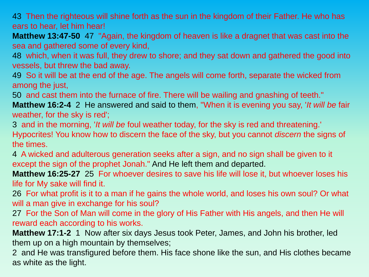43 Then the righteous will shine forth as the sun in the kingdom of their Father. He who has ears to hear, let him hear!

**Matthew 13:47-50** 47 "Again, the kingdom of heaven is like a dragnet that was cast into the sea and gathered some of every kind,

48 which, when it was full, they drew to shore; and they sat down and gathered the good into vessels, but threw the bad away.

49 So it will be at the end of the age. The angels will come forth, separate the wicked from among the just,

50 and cast them into the furnace of fire. There will be wailing and gnashing of teeth."

**Matthew 16:2-4** 2 He answered and said to them, "When it is evening you say, '*It will be* fair weather, for the sky is red';

3 and in the morning, '*It will be* foul weather today, for the sky is red and threatening.' Hypocrites! You know how to discern the face of the sky, but you cannot *discern* the signs of the times.

4 A wicked and adulterous generation seeks after a sign, and no sign shall be given to it except the sign of the prophet Jonah." And He left them and departed.

**Matthew 16:25-27** 25 For whoever desires to save his life will lose it, but whoever loses his life for My sake will find it.

26 For what profit is it to a man if he gains the whole world, and loses his own soul? Or what will a man give in exchange for his soul?

27 For the Son of Man will come in the glory of His Father with His angels, and then He will reward each according to his works.

**Matthew 17:1-2** 1 Now after six days Jesus took Peter, James, and John his brother, led them up on a high mountain by themselves;

2 and He was transfigured before them. His face shone like the sun, and His clothes became as white as the light.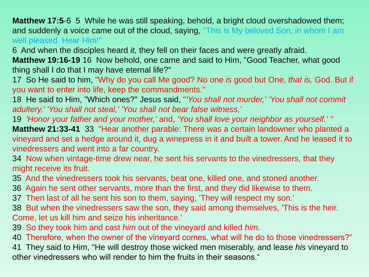**Matthew 17:5**-6 5 While he was still speaking, behold, a bright cloud overshadowed them; and suddenly a voice came out of the cloud, saying, "This is My beloved Son, in whom I am well pleased. Hear Him!"

6 And when the disciples heard *it,* they fell on their faces and were greatly afraid.

**Matthew 19:16-19** 16 Now behold, one came and said to Him, "Good Teacher, what good thing shall I do that I may have eternal life?"

17 So He said to him, "Why do you call Me good? No one *is* good but One, *that is,* God. But if you want to enter into life, keep the commandments."

18 He said to Him, "Which ones?" Jesus said, "*'You shall not murder,' 'You shall not commit adultery,' 'You shall not steal,' 'You shall not bear false witness,'*

19 *'Honor your father and your mother,'* and, *'You shall love your neighbor as yourself.' "* **Matthew 21:33-41** 33 "Hear another parable: There was a certain landowner who planted a vineyard and set a hedge around it, dug a winepress in it and built a tower. And he leased it to vinedressers and went into a far country.

34 Now when vintage-time drew near, he sent his servants to the vinedressers, that they might receive its fruit.

35 And the vinedressers took his servants, beat one, killed one, and stoned another.

36 Again he sent other servants, more than the first, and they did likewise to them.

37 Then last of all he sent his son to them, saying, 'They will respect my son.'

38 But when the vinedressers saw the son, they said among themselves, 'This is the heir. Come, let us kill him and seize his inheritance.'

39 So they took him and cast *him* out of the vineyard and killed *him.*

40 Therefore, when the owner of the vineyard comes, what will he do to those vinedressers?"

41 They said to Him, "He will destroy those wicked men miserably, and lease *his* vineyard to other vinedressers who will render to him the fruits in their seasons."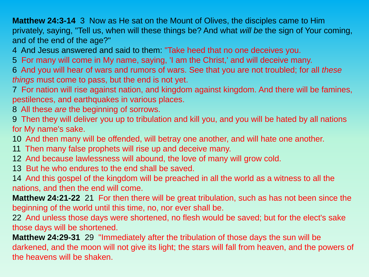**Matthew 24:3-14** 3 Now as He sat on the Mount of Olives, the disciples came to Him privately, saying, "Tell us, when will these things be? And what *will be* the sign of Your coming, and of the end of the age?" **N**<br>0

- 4 And Jesus answered and said to them: "Take heed that no one deceives you.
- 5 For many will come in My name, saying, 'I am the Christ,' and will deceive many.
- 6 And you will hear of wars and rumors of wars. See that you are not troubled; for all *these things* must come to pass, but the end is not yet.
- 7 For nation will rise against nation, and kingdom against kingdom. And there will be famines, pestilences, and earthquakes in various places.
- 8 All these *are* the beginning of sorrows.
- 9 Then they will deliver you up to tribulation and kill you, and you will be hated by all nations for My name's sake.
- 10 And then many will be offended, will betray one another, and will hate one another.
- 11 Then many false prophets will rise up and deceive many.
- 12 And because lawlessness will abound, the love of many will grow cold.
- 13 But he who endures to the end shall be saved.
- 14 And this gospel of the kingdom will be preached in all the world as a witness to all the nations, and then the end will come.
- **Matthew 24:21-22** 21 For then there will be great tribulation, such as has not been since the beginning of the world until this time, no, nor ever shall be.
- 22 And unless those days were shortened, no flesh would be saved; but for the elect's sake those days will be shortened.

**Matthew 24:29-31** 29 "Immediately after the tribulation of those days the sun will be darkened, and the moon will not give its light; the stars will fall from heaven, and the powers of the heavens will be shaken.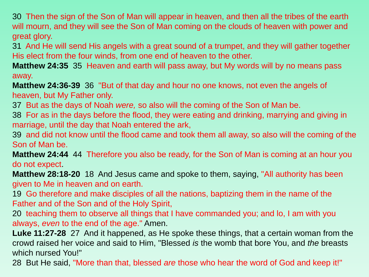30 Then the sign of the Son of Man will appear in heaven, and then all the tribes of the earth 30 Juli mourn and<br>will mourn and they will see the Son of Man coming on the clouds of heaven with power and will mourn, and they will see the Son of Man coming on the clouds of heaven with power and great glory.

31 And He will send His angels with a great sound of a trumpet, and they will gather together His elect from the four winds, from one end of heaven to the other.

**Matthew 24:35** 35 Heaven and earth will pass away, but My words will by no means pass away.

**Matthew 24:36-39** 36 "But of that day and hour no one knows, not even the angels of heaven, but My Father only.

37 But as the days of Noah *were,* so also will the coming of the Son of Man be.

38 For as in the days before the flood, they were eating and drinking, marrying and giving in marriage, until the day that Noah entered the ark,

39 and did not know until the flood came and took them all away, so also will the coming of the Son of Man be.

**Matthew 24:44** 44 Therefore you also be ready, for the Son of Man is coming at an hour you do not expect.

**Matthew 28:18-20** 18 And Jesus came and spoke to them, saying, "All authority has been given to Me in heaven and on earth.

19 Go therefore and make disciples of all the nations, baptizing them in the name of the Father and of the Son and of the Holy Spirit,

20 teaching them to observe all things that I have commanded you; and lo, I am with you always, *even* to the end of the age." Amen.

**Luke 11:27-28** 27 And it happened, as He spoke these things, that a certain woman from the crowd raised her voice and said to Him, "Blessed *is* the womb that bore You, and *the* breasts which nursed You!"

28 But He said, "More than that, blessed *are* those who hear the word of God and keep it!"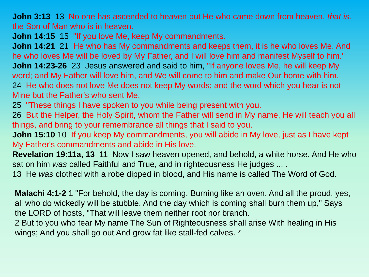**John 3:13** 13 No one has ascended to heaven but He who came down from heaven, *that is,*<br>the Son of Man who is in heaven the Son of Man who is in heaven.

**John 14:15** 15 "If you love Me, keep My commandments.

**John 14:21** 21 He who has My commandments and keeps them, it is he who loves Me. And he who loves Me will be loved by My Father, and I will love him and manifest Myself to him." **John 14:23-26** 23 Jesus answered and said to him, "If anyone loves Me, he will keep My word; and My Father will love him, and We will come to him and make Our home with him. 24 He who does not love Me does not keep My words; and the word which you hear is not Mine but the Father's who sent Me.

25 "These things I have spoken to you while being present with you.

26 But the Helper, the Holy Spirit, whom the Father will send in My name, He will teach you all things, and bring to your remembrance all things that I said to you.

**John 15:10** 10 If you keep My commandments, you will abide in My love, just as I have kept My Father's commandments and abide in His love.

**Revelation 19:11a, 13** 11 Now I saw heaven opened, and behold, a white horse. And He who sat on him *was* called Faithful and True, and in righteousness He judges ... .

13 He *was* clothed with a robe dipped in blood, and His name is called The Word of God.

**Malachi 4:1-2** 1 "For behold, the day is coming, Burning like an oven, And all the proud, yes, all who do wickedly will be stubble. And the day which is coming shall burn them up," Says the LORD of hosts, "That will leave them neither root nor branch.

2 But to you who fear My name The Sun of Righteousness shall arise With healing in His wings; And you shall go out And grow fat like stall-fed calves. \*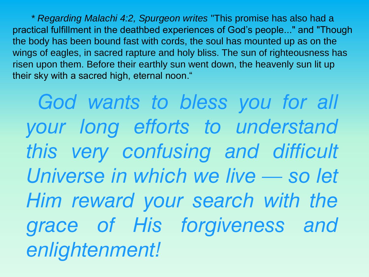*\* Regarding Malachi 4:2, Spurgeon writes* "This promise has also had a practical fulfillment in the deathbed experiences of God's people..." and "Though the body has been bound fast with cords, the soul has mounted up as on the wings of eagles, in sacred rapture and holy bliss. The sun of righteousness has risen upon them. Before their earthly sun went down, the heavenly sun lit up their sky with a sacred high, eternal noon."

 *God wants to bless you for all your long efforts to understand this very confusing and difficult Universe in which we live — so let Him reward your search with the grace of His forgiveness and enlightenment!*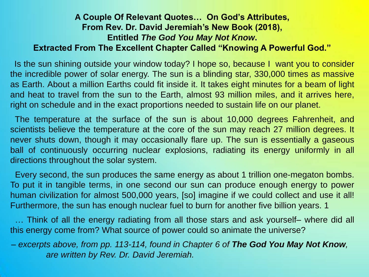#### **A Couple Of Relevant Quotes… On God's Attributes, From Rev. Dr. David Jeremiah's New Book (2018), Entitled** *The God You May Not Know***. Extracted From The Excellent Chapter Called "Knowing A Powerful God."**

Is the sun shining outside your window today? I hope so, because I want you to consider the incredible power of solar energy. The sun is a blinding star, 330,000 times as massive as Earth. About a million Earths could fit inside it. It takes eight minutes for a beam of light and heat to travel from the sun to the Earth, almost 93 million miles, and it arrives here, right on schedule and in the exact proportions needed to sustain life on our planet.

 The temperature at the surface of the sun is about 10,000 degrees Fahrenheit, and scientists believe the temperature at the core of the sun may reach 27 million degrees. It never shuts down, though it may occasionally flare up. The sun is essentially a gaseous ball of continuously occurring nuclear explosions, radiating its energy uniformly in all directions throughout the solar system.

 Every second, the sun produces the same energy as about 1 trillion one-megaton bombs. To put it in tangible terms, in one second our sun can produce enough energy to power human civilization for almost 500,000 years, [so] imagine if we could collect and use it all! Furthermore, the sun has enough nuclear fuel to burn for another five billion years. 1

 … Think of all the energy radiating from all those stars and ask yourself– where did all this energy come from? What source of power could so animate the universe?

*– excerpts above, from pp. 113-114, found in Chapter 6 of The God You May Not Know, are written by Rev. Dr. David Jeremiah.*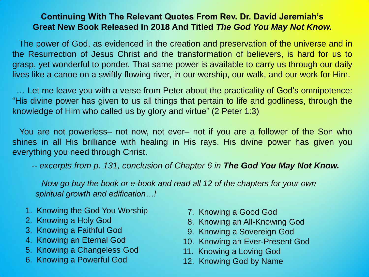#### **Continuing With The Relevant Quotes From Rev. Dr. David Jeremiah's Great New Book Released In 2018 And Titled** *The God You May Not Know.*

 The power of God, as evidenced in the creation and preservation of the universe and in the Resurrection of Jesus Christ and the transformation of believers, is hard for us to grasp, yet wonderful to ponder. That same power is available to carry us through our daily lives like a canoe on a swiftly flowing river, in our worship, our walk, and our work for Him.

 … Let me leave you with a verse from Peter about the practicality of God's omnipotence: "His divine power has given to us all things that pertain to life and godliness, through the knowledge of Him who called us by glory and virtue" (2 Peter 1:3)

 You are not powerless– not now, not ever– not if you are a follower of the Son who shines in all His brilliance with healing in His rays. His divine power has given you everything you need through Christ.

*-- excerpts from p. 131, conclusion of Chapter 6 in The God You May Not Know.*

 *Now go buy the book or e-book and read all 12 of the chapters for your own spiritual growth and edification…!*

- 1. Knowing the God You Worship
- 2. Knowing a Holy God
- 3. Knowing a Faithful God
- 4. Knowing an Eternal God
- 5. Knowing a Changeless God
- 6. Knowing a Powerful God
- 7. Knowing a Good God
- 8. Knowing an All-Knowing God
- 9. Knowing a Sovereign God
- 10. Knowing an Ever-Present God
- 11. Knowing a Loving God
- 12. Knowing God by Name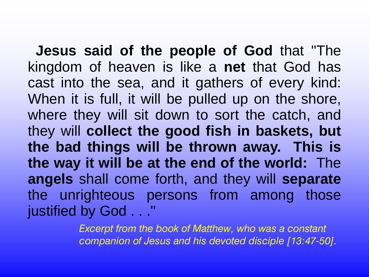**Jesus said of the people of God** that "The kingdom of heaven is like a **net** that God has cast into the sea, and it gathers of every kind: When it is full, it will be pulled up on the shore, where they will sit down to sort the catch, and they will **collect the good fish in baskets, but the bad things will be thrown away. This is the way it will be at the end of the world:** The **angels** shall come forth, and they will **separate** the unrighteous persons from among those justified by God . . ."

> *Excerpt from the book of Matthew, who was a constant companion of Jesus and his devoted disciple [13:47-50].*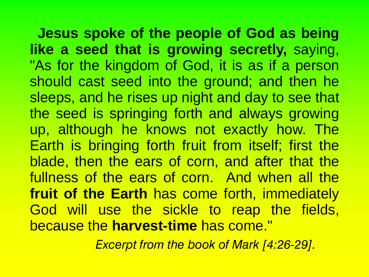**Jesus spoke of the people of God as being like a seed that is growing secretly,** saying, "As for the kingdom of God, it is as if a person should cast seed into the ground; and then he sleeps, and he rises up night and day to see that the seed is springing forth and always growing up, although he knows not exactly how. The Earth is bringing forth fruit from itself; first the blade, then the ears of corn, and after that the fullness of the ears of corn. And when all the **fruit of the Earth** has come forth, immediately God will use the sickle to reap the fields, because the **harvest-time** has come."

*Excerpt from the book of Mark [4:26-29].*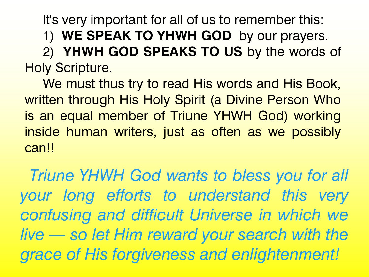It's very important for all of us to remember this: 1) **WE SPEAK TO YHWH GOD** by our prayers. 2) **YHWH GOD SPEAKS TO US** by the words of Holy Scripture.

We must thus try to read His words and His Book, written through His Holy Spirit (a Divine Person Who is an equal member of Triune YHWH God) working inside human writers, just as often as we possibly can!!

 *Triune YHWH God wants to bless you for all your long efforts to understand this very confusing and difficult Universe in which we live — so let Him reward your search with the grace of His forgiveness and enlightenment!*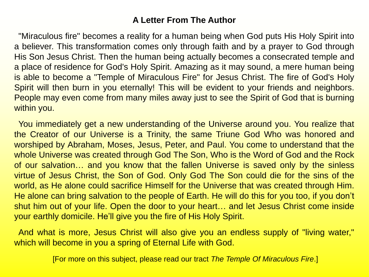#### **A Letter From The Author**

 "Miraculous fire" becomes a reality for a human being when God puts His Holy Spirit into a believer. This transformation comes only through faith and by a prayer to God through His Son Jesus Christ. Then the human being actually becomes a consecrated temple and a place of residence for God's Holy Spirit. Amazing as it may sound, a mere human being is able to become a "Temple of Miraculous Fire" for Jesus Christ. The fire of God's Holy Spirit will then burn in you eternally! This will be evident to your friends and neighbors. People may even come from many miles away just to see the Spirit of God that is burning within you.

 You immediately get a new understanding of the Universe around you. You realize that the Creator of our Universe is a Trinity, the same Triune God Who was honored and worshiped by Abraham, Moses, Jesus, Peter, and Paul. You come to understand that the whole Universe was created through God The Son, Who is the Word of God and the Rock of our salvation… and you know that the fallen Universe is saved only by the sinless virtue of Jesus Christ, the Son of God. Only God The Son could die for the sins of the world, as He alone could sacrifice Himself for the Universe that was created through Him. He alone can bring salvation to the people of Earth. He will do this for you too, if you don't shut him out of your life. Open the door to your heart… and let Jesus Christ come inside your earthly domicile. He'll give you the fire of His Holy Spirit.

 And what is more, Jesus Christ will also give you an endless supply of "living water," which will become in you a spring of Eternal Life with God.

[For more on this subject, please read our tract *The Temple Of Miraculous Fire*.]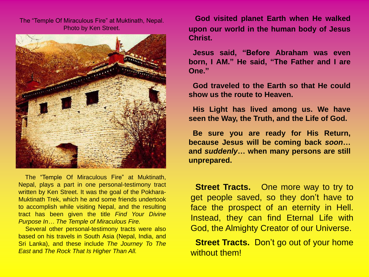The "Temple Of Miraculous Fire" at Muktinath, Nepal. Photo by Ken Street.



 The "Temple Of Miraculous Fire" at Muktinath, Nepal, plays a part in one personal-testimony tract written by Ken Street. It was the goal of the Pokhara-Muktinath Trek, which he and some friends undertook to accomplish while visiting Nepal, and the resulting tract has been given the title *Find Your Divine Purpose In… The Temple of Miraculous Fire.*

 Several other personal-testimony tracts were also based on his travels in South Asia (Nepal, India, and Sri Lanka), and these include *The Journey To The East* and *The Rock That Is Higher Than All.*

**God visited planet Earth when He walked upon our world in the human body of Jesus Christ.**

 **Jesus said, "Before Abraham was even born, I AM." He said, "The Father and I are One."**

 **God traveled to the Earth so that He could show us the route to Heaven.**

 **His Light has lived among us. We have seen the Way, the Truth, and the Life of God.**

 **Be sure you are ready for His Return, because Jesus will be coming back** *soon***… and** *suddenly***… when many persons are still unprepared.**

**Street Tracts.** One more way to try to get people saved, so they don't have to face the prospect of an eternity in Hell. Instead, they can find Eternal Life with God, the Almighty Creator of our Universe.

**Street Tracts.** Don't go out of your home without them!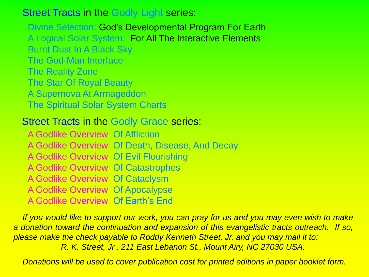#### Street Tracts in the Godly Light series:

Divine Selection: God's Developmental Program For Earth A Logical Solar System: For All The Interactive Elements Burnt Dust In A Black Sky The God-Man Interface The Reality Zone The Star Of Royal Beauty A Supernova At Armageddon The Spiritual Solar System Charts

#### **Street Tracts in the Godly Grace series:**

A Godlike Overview Of Affliction A Godlike Overview Of Death, Disease, And Decay A Godlike Overview Of Evil Flourishing A Godlike Overview Of Catastrophes A Godlike Overview Of Cataclysm A Godlike Overview Of Apocalypse A Godlike Overview Of Earth's End

If you would like to support our work, you can pray for us and you may even wish to make *a donation toward the continuation and expansion of this evangelistic tracts outreach. If so, please make the check payable to Roddy Kenneth Street, Jr. and you may mail it to: R. K. Street, Jr., 211 East Lebanon St., Mount Airy, NC 27030 USA.*

 *Donations will be used to cover publication cost for printed editions in paper booklet form.*